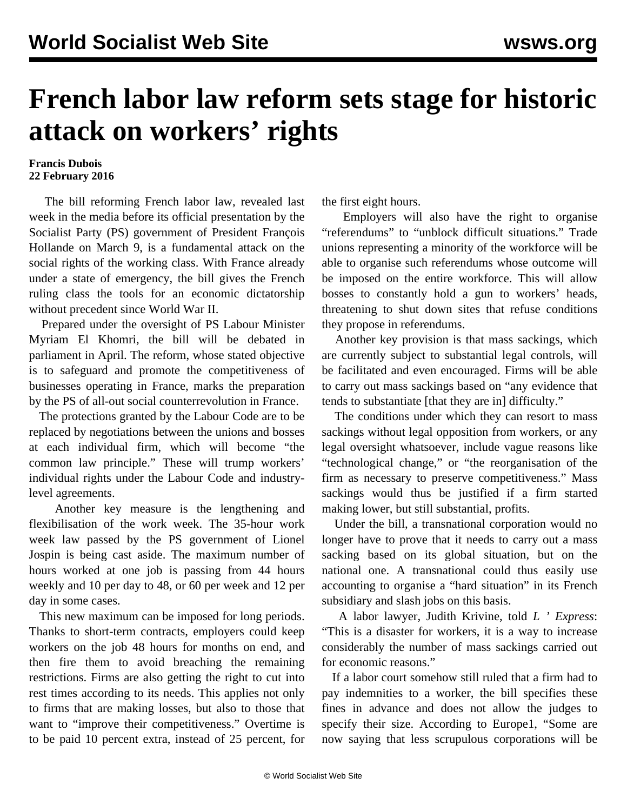## **French labor law reform sets stage for historic attack on workers' rights**

## **Francis Dubois 22 February 2016**

 The bill reforming French labor law, revealed last week in the media before its official presentation by the Socialist Party (PS) government of President François Hollande on March 9, is a fundamental attack on the social rights of the working class. With France already under a state of emergency, the bill gives the French ruling class the tools for an economic dictatorship without precedent since World War II.

 Prepared under the oversight of PS Labour Minister Myriam El Khomri, the bill will be debated in parliament in April. The reform, whose stated objective is to safeguard and promote the competitiveness of businesses operating in France, marks the preparation by the PS of all-out social counterrevolution in France.

 The protections granted by the Labour Code are to be replaced by negotiations between the unions and bosses at each individual firm, which will become "the common law principle." These will trump workers' individual rights under the Labour Code and industrylevel agreements.

 Another key measure is the lengthening and flexibilisation of the work week. The 35-hour work week law passed by the PS government of Lionel Jospin is being cast aside. The maximum number of hours worked at one job is passing from 44 hours weekly and 10 per day to 48, or 60 per week and 12 per day in some cases.

 This new maximum can be imposed for long periods. Thanks to short-term contracts, employers could keep workers on the job 48 hours for months on end, and then fire them to avoid breaching the remaining restrictions. Firms are also getting the right to cut into rest times according to its needs. This applies not only to firms that are making losses, but also to those that want to "improve their competitiveness." Overtime is to be paid 10 percent extra, instead of 25 percent, for the first eight hours.

 Employers will also have the right to organise "referendums" to "unblock difficult situations." Trade unions representing a minority of the workforce will be able to organise such referendums whose outcome will be imposed on the entire workforce. This will allow bosses to constantly hold a gun to workers' heads, threatening to shut down sites that refuse conditions they propose in referendums.

 Another key provision is that mass sackings, which are currently subject to substantial legal controls, will be facilitated and even encouraged. Firms will be able to carry out mass sackings based on "any evidence that tends to substantiate [that they are in] difficulty."

 The conditions under which they can resort to mass sackings without legal opposition from workers, or any legal oversight whatsoever, include vague reasons like "technological change," or "the reorganisation of the firm as necessary to preserve competitiveness." Mass sackings would thus be justified if a firm started making lower, but still substantial, profits.

 Under the bill, a transnational corporation would no longer have to prove that it needs to carry out a mass sacking based on its global situation, but on the national one. A transnational could thus easily use accounting to organise a "hard situation" in its French subsidiary and slash jobs on this basis.

 A labor lawyer, Judith Krivine, told *L ' Express*: "This is a disaster for workers, it is a way to increase considerably the number of mass sackings carried out for economic reasons."

 If a labor court somehow still ruled that a firm had to pay indemnities to a worker, the bill specifies these fines in advance and does not allow the judges to specify their size. According to Europe1, "Some are now saying that less scrupulous corporations will be